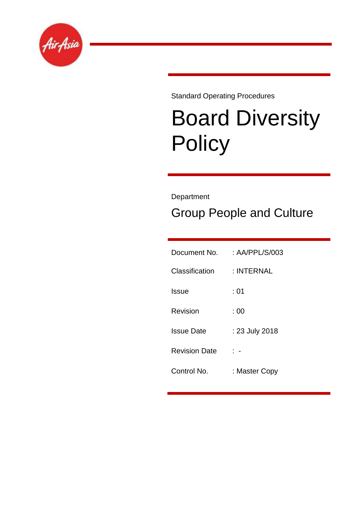

Standard Operating Procedures

# Board Diversity **Policy**

**Department** 

# Group People and Culture

| Document No.         | : AA/PPL/S/003 |
|----------------------|----------------|
| Classification       | : INTERNAL     |
| <b>Issue</b>         | :01            |
| Revision             | : 00           |
| <b>Issue Date</b>    | : 23 July 2018 |
| <b>Revision Date</b> | : -            |
| Control No.          | : Master Copy  |
|                      |                |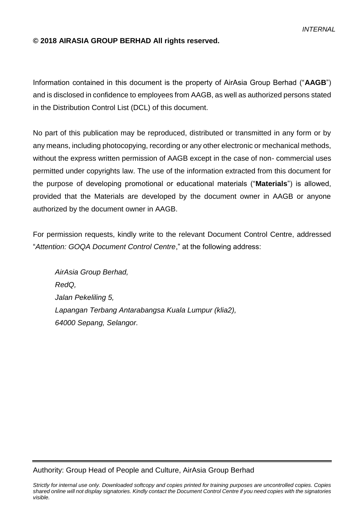#### **© 2018 AIRASIA GROUP BERHAD All rights reserved.**

Information contained in this document is the property of AirAsia Group Berhad ("**AAGB**") and is disclosed in confidence to employees from AAGB, as well as authorized persons stated in the Distribution Control List (DCL) of this document.

No part of this publication may be reproduced, distributed or transmitted in any form or by any means, including photocopying, recording or any other electronic or mechanical methods, without the express written permission of AAGB except in the case of non- commercial uses permitted under copyrights law. The use of the information extracted from this document for the purpose of developing promotional or educational materials ("**Materials**") is allowed, provided that the Materials are developed by the document owner in AAGB or anyone authorized by the document owner in AAGB.

For permission requests, kindly write to the relevant Document Control Centre, addressed "*Attention: GOQA Document Control Centre*," at the following address:

*AirAsia Group Berhad, RedQ, Jalan Pekeliling 5, Lapangan Terbang Antarabangsa Kuala Lumpur (klia2), 64000 Sepang, Selangor.*

# Authority: Group Head of People and Culture, AirAsia Group Berhad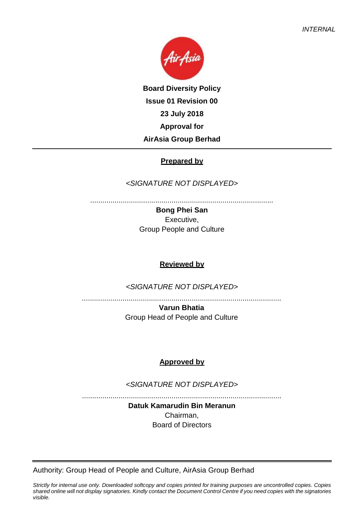

**Board Diversity Policy Issue 01 Revision 00 23 July 2018 Approval for AirAsia Group Berhad**

# **Prepared by**

*<SIGNATURE NOT DISPLAYED>*

..........................................................................................

**Bong Phei San** Executive, Group People and Culture

# **Reviewed by**

*<SIGNATURE NOT DISPLAYED>*

..................................................................................................

**Varun Bhatia** Group Head of People and Culture

# **Approved by**

# *<SIGNATURE NOT DISPLAYED>*

..................................................................................................

**Datuk Kamarudin Bin Meranun** Chairman, Board of Directors

Authority: Group Head of People and Culture, AirAsia Group Berhad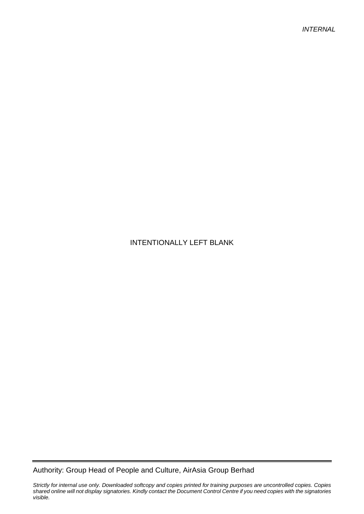*INTERNAL*

# INTENTIONALLY LEFT BLANK

Authority: Group Head of People and Culture, AirAsia Group Berhad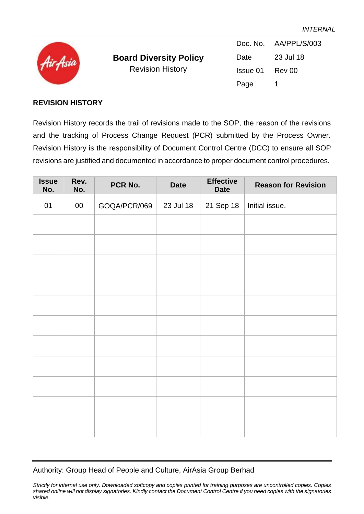|  |                               |          | Doc. No. AA/PPL/S/003 |
|--|-------------------------------|----------|-----------------------|
|  | <b>Board Diversity Policy</b> | Date     | 23 Jul 18             |
|  | <b>Revision History</b>       | Issue 01 | Rev 00                |
|  |                               | Page     |                       |

#### <span id="page-4-0"></span>**REVISION HISTORY**

Revision History records the trail of revisions made to the SOP, the reason of the revisions and the tracking of Process Change Request (PCR) submitted by the Process Owner. Revision History is the responsibility of Document Control Centre (DCC) to ensure all SOP revisions are justified and documented in accordance to proper document control procedures.

| <b>Issue</b><br>No. | Rev.<br>No. | PCR No.      | <b>Date</b> | <b>Effective</b><br><b>Date</b> | <b>Reason for Revision</b> |
|---------------------|-------------|--------------|-------------|---------------------------------|----------------------------|
| 01                  | $00\,$      | GOQA/PCR/069 | 23 Jul 18   | 21 Sep 18                       | Initial issue.             |
|                     |             |              |             |                                 |                            |
|                     |             |              |             |                                 |                            |
|                     |             |              |             |                                 |                            |
|                     |             |              |             |                                 |                            |
|                     |             |              |             |                                 |                            |
|                     |             |              |             |                                 |                            |
|                     |             |              |             |                                 |                            |
|                     |             |              |             |                                 |                            |
|                     |             |              |             |                                 |                            |
|                     |             |              |             |                                 |                            |
|                     |             |              |             |                                 |                            |

# Authority: Group Head of People and Culture, AirAsia Group Berhad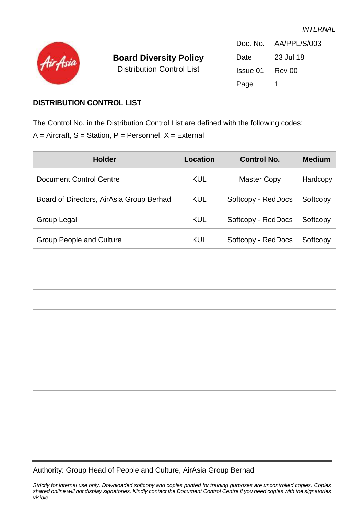*INTERNAL*



#### <span id="page-5-0"></span>**DISTRIBUTION CONTROL LIST**

The Control No. in the Distribution Control List are defined with the following codes:

 $A =$  Aircraft, S = Station, P = Personnel, X = External

| <b>Holder</b>                            | <b>Location</b> | <b>Control No.</b> | <b>Medium</b> |
|------------------------------------------|-----------------|--------------------|---------------|
| <b>Document Control Centre</b>           | <b>KUL</b>      | <b>Master Copy</b> | Hardcopy      |
| Board of Directors, AirAsia Group Berhad | <b>KUL</b>      | Softcopy - RedDocs | Softcopy      |
| Group Legal                              | <b>KUL</b>      | Softcopy - RedDocs | Softcopy      |
| <b>Group People and Culture</b>          | <b>KUL</b>      | Softcopy - RedDocs | Softcopy      |
|                                          |                 |                    |               |
|                                          |                 |                    |               |
|                                          |                 |                    |               |
|                                          |                 |                    |               |
|                                          |                 |                    |               |
|                                          |                 |                    |               |
|                                          |                 |                    |               |
|                                          |                 |                    |               |
|                                          |                 |                    |               |

# Authority: Group Head of People and Culture, AirAsia Group Berhad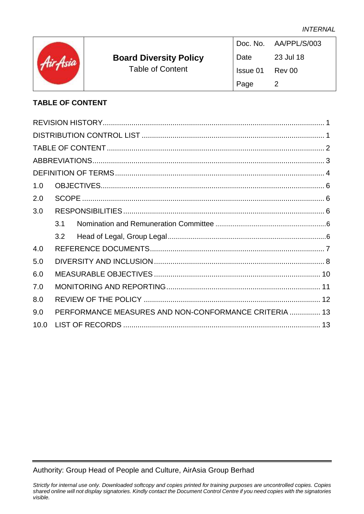

# <span id="page-6-0"></span>**TABLE OF CONTENT**

| 1.0  |     |                                                       |  |
|------|-----|-------------------------------------------------------|--|
| 2.0  |     |                                                       |  |
| 3.0  |     |                                                       |  |
|      | 3.1 |                                                       |  |
|      | 3.2 |                                                       |  |
| 4.0  |     |                                                       |  |
| 5.0  |     |                                                       |  |
| 6.0  |     |                                                       |  |
| 7.0  |     |                                                       |  |
| 8.0  |     |                                                       |  |
| 9.0  |     | PERFORMANCE MEASURES AND NON-CONFORMANCE CRITERIA  13 |  |
| 10.0 |     |                                                       |  |

Authority: Group Head of People and Culture, AirAsia Group Berhad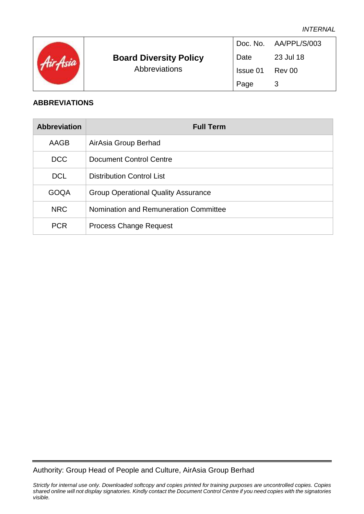

|                               |                 | Doc. No. AA/PPL/S/003 |
|-------------------------------|-----------------|-----------------------|
| <b>Board Diversity Policy</b> | Date            | 23 Jul 18             |
| Abbreviations                 | Issue 01 Rev 00 |                       |
|                               | Page            |                       |

#### <span id="page-7-0"></span>**ABBREVIATIONS**

| <b>Abbreviation</b> | <b>Full Term</b>                           |
|---------------------|--------------------------------------------|
| AAGB                | AirAsia Group Berhad                       |
| <b>DCC</b>          | Document Control Centre                    |
| <b>DCL</b>          | <b>Distribution Control List</b>           |
| <b>GOQA</b>         | <b>Group Operational Quality Assurance</b> |
| <b>NRC</b>          | Nomination and Remuneration Committee      |
| <b>PCR</b>          | <b>Process Change Request</b>              |

# Authority: Group Head of People and Culture, AirAsia Group Berhad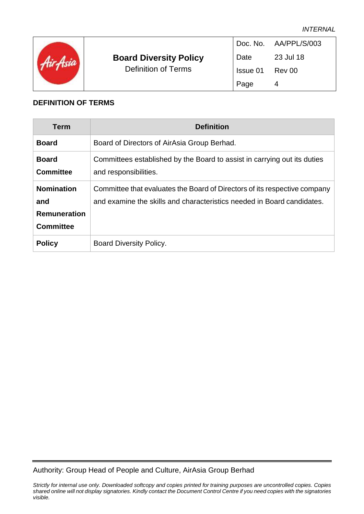

#### <span id="page-8-0"></span>**DEFINITION OF TERMS**

| <b>Term</b>                                                         | <b>Definition</b>                                                                                                                                   |
|---------------------------------------------------------------------|-----------------------------------------------------------------------------------------------------------------------------------------------------|
| <b>Board</b>                                                        | Board of Directors of AirAsia Group Berhad.                                                                                                         |
| <b>Board</b><br><b>Committee</b>                                    | Committees established by the Board to assist in carrying out its duties<br>and responsibilities.                                                   |
| <b>Nomination</b><br>and<br><b>Remuneration</b><br><b>Committee</b> | Committee that evaluates the Board of Directors of its respective company<br>and examine the skills and characteristics needed in Board candidates. |
| <b>Policy</b>                                                       | Board Diversity Policy.                                                                                                                             |

Authority: Group Head of People and Culture, AirAsia Group Berhad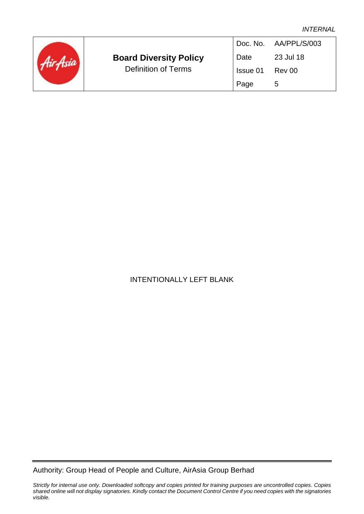| <i><b>INTERNAL</b></i> |
|------------------------|
|------------------------|

|  |                               |          | Doc. No. AA/PPL/S/003 |
|--|-------------------------------|----------|-----------------------|
|  | <b>Board Diversity Policy</b> | Date     | 23 Jul 18             |
|  | <b>Definition of Terms</b>    | Issue 01 | Rev 00                |
|  |                               | Page     | 5                     |

# INTENTIONALLY LEFT BLANK

Authority: Group Head of People and Culture, AirAsia Group Berhad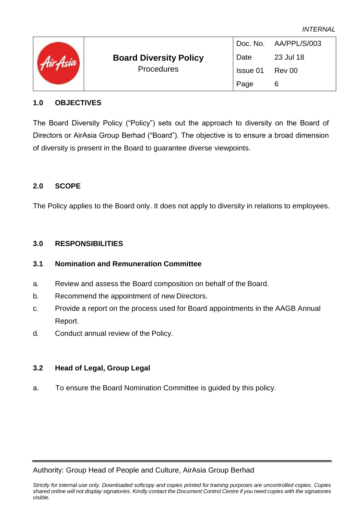|  |                               |          | Doc. No. AA/PPL/S/003 |
|--|-------------------------------|----------|-----------------------|
|  | <b>Board Diversity Policy</b> | Date     | 23 Jul 18             |
|  | <b>Procedures</b>             | Issue 01 | Rev 00                |
|  |                               | Page     |                       |

#### <span id="page-10-0"></span>**1.0 OBJECTIVES**

The Board Diversity Policy ("Policy") sets out the approach to diversity on the Board of Directors or AirAsia Group Berhad ("Board"). The objective is to ensure a broad dimension of diversity is present in the Board to guarantee diverse viewpoints.

# <span id="page-10-1"></span>**2.0 SCOPE**

The Policy applies to the Board only. It does not apply to diversity in relations to employees.

#### <span id="page-10-2"></span>**3.0 RESPONSIBILITIES**

#### <span id="page-10-3"></span>**3.1 Nomination and Remuneration Committee**

- a. Review and assess the Board composition on behalf of the Board.
- b. Recommend the appointment of new Directors.
- c. Provide a report on the process used for Board appointments in the AAGB Annual Report.
- d. Conduct annual review of the Policy.

#### <span id="page-10-4"></span>**3.2 Head of Legal, Group Legal**

a. To ensure the Board Nomination Committee is guided by this policy.

Authority: Group Head of People and Culture, AirAsia Group Berhad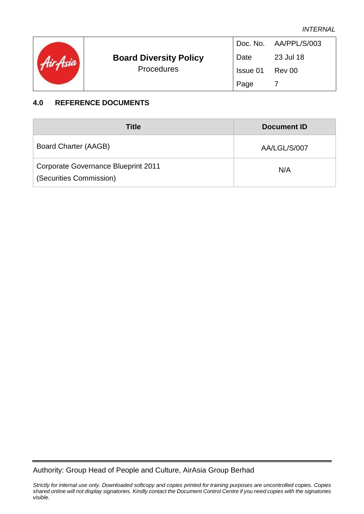|  |                               |          | Doc. No. AA/PPL/S/003 |
|--|-------------------------------|----------|-----------------------|
|  | <b>Board Diversity Policy</b> | Date     | 23 Jul 18             |
|  | Procedures                    | Issue 01 | Rev 00                |
|  |                               | Page     |                       |

#### <span id="page-11-0"></span>**4.0 REFERENCE DOCUMENTS**

| <b>Title</b>                                                   | <b>Document ID</b> |
|----------------------------------------------------------------|--------------------|
| Board Charter (AAGB)                                           | AA/LGL/S/007       |
| Corporate Governance Blueprint 2011<br>(Securities Commission) | N/A                |

Authority: Group Head of People and Culture, AirAsia Group Berhad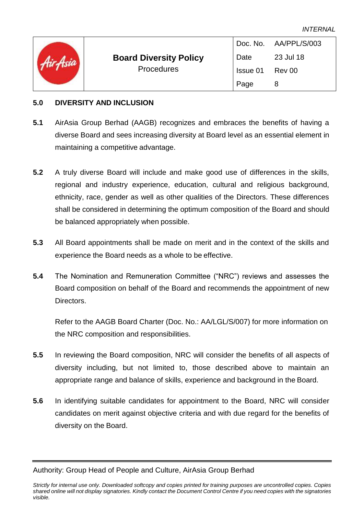| <b>Board Diversity Policy</b><br><b>Procedures</b> |      | Doc. No. AA/PPL/S/003 |        |
|----------------------------------------------------|------|-----------------------|--------|
|                                                    | Date | 23 Jul 18             |        |
|                                                    |      | Issue 01              | Rev 00 |
|                                                    |      | Page                  |        |

#### <span id="page-12-0"></span>**5.0 DIVERSITY AND INCLUSION**

- **5.1** AirAsia Group Berhad (AAGB) recognizes and embraces the benefits of having a diverse Board and sees increasing diversity at Board level as an essential element in maintaining a competitive advantage.
- **5.2** A truly diverse Board will include and make good use of differences in the skills, regional and industry experience, education, cultural and religious background, ethnicity, race, gender as well as other qualities of the Directors. These differences shall be considered in determining the optimum composition of the Board and should be balanced appropriately when possible.
- **5.3** All Board appointments shall be made on merit and in the context of the skills and experience the Board needs as a whole to be effective.
- **5.4** The Nomination and Remuneration Committee ("NRC") reviews and assesses the Board composition on behalf of the Board and recommends the appointment of new Directors.

Refer to the AAGB Board Charter (Doc. No.: AA/LGL/S/007) for more information on the NRC composition and responsibilities.

- **5.5** In reviewing the Board composition, NRC will consider the benefits of all aspects of diversity including, but not limited to, those described above to maintain an appropriate range and balance of skills, experience and background in the Board.
- **5.6** In identifying suitable candidates for appointment to the Board, NRC will consider candidates on merit against objective criteria and with due regard for the benefits of diversity on the Board.

Authority: Group Head of People and Culture, AirAsia Group Berhad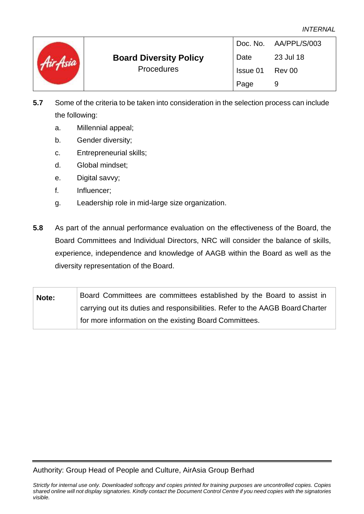| <b>Board Diversity Policy</b><br>Procedures |      | Doc. No. AA/PPL/S/003 |        |
|---------------------------------------------|------|-----------------------|--------|
|                                             | Date | 23 Jul 18             |        |
|                                             |      | Issue 01              | Rev 00 |
|                                             |      | Page                  | 9      |

- **5.7** Some of the criteria to be taken into consideration in the selection process can include the following:
	- a. Millennial appeal;
	- b. Gender diversity;
	- c. Entrepreneurial skills;
	- d. Global mindset;
	- e. Digital savvy;
	- f. Influencer;
	- g. Leadership role in mid-large size organization.
- **5.8** As part of the annual performance evaluation on the effectiveness of the Board, the Board Committees and Individual Directors, NRC will consider the balance of skills, experience, independence and knowledge of AAGB within the Board as well as the diversity representation of the Board.
- **Note:** Board Committees are committees established by the Board to assist in carrying out its duties and responsibilities. Refer to the AAGB Board Charter for more information on the existing Board Committees.

# Authority: Group Head of People and Culture, AirAsia Group Berhad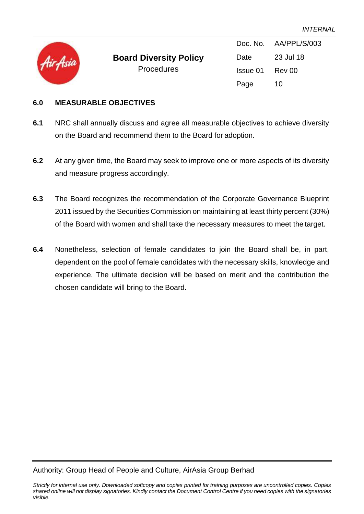|  |                               | Doc. No. AA/PPL/S/003 |           |
|--|-------------------------------|-----------------------|-----------|
|  | <b>Board Diversity Policy</b> | Date                  | 23 Jul 18 |
|  | Procedures                    | Issue 01              | Rev 00    |
|  |                               | Page                  | 10        |

#### <span id="page-14-0"></span>**6.0 MEASURABLE OBJECTIVES**

- **6.1** NRC shall annually discuss and agree all measurable objectives to achieve diversity on the Board and recommend them to the Board for adoption.
- **6.2** At any given time, the Board may seek to improve one or more aspects of its diversity and measure progress accordingly.
- **6.3** The Board recognizes the recommendation of the Corporate Governance Blueprint 2011 issued by the Securities Commission on maintaining at least thirty percent (30%) of the Board with women and shall take the necessary measures to meet the target.
- **6.4** Nonetheless, selection of female candidates to join the Board shall be, in part, dependent on the pool of female candidates with the necessary skills, knowledge and experience. The ultimate decision will be based on merit and the contribution the chosen candidate will bring to the Board.

#### Authority: Group Head of People and Culture, AirAsia Group Berhad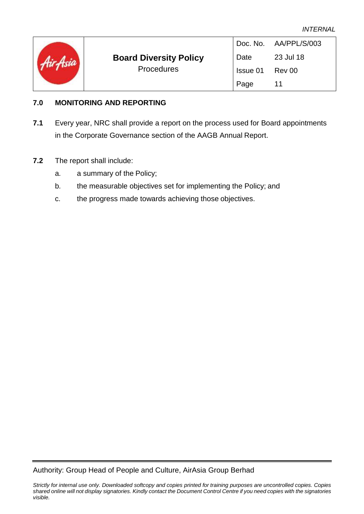|  |                               | Doc. No. AA/PPL/S/003 |           |
|--|-------------------------------|-----------------------|-----------|
|  | <b>Board Diversity Policy</b> | Date                  | 23 Jul 18 |
|  | Procedures                    | Issue 01              | Rev 00    |
|  |                               | Page                  |           |

#### <span id="page-15-0"></span>**7.0 MONITORING AND REPORTING**

- **7.1** Every year, NRC shall provide a report on the process used for Board appointments in the Corporate Governance section of the AAGB Annual Report.
- **7.2** The report shall include:
	- a. a summary of the Policy;
	- b. the measurable objectives set for implementing the Policy; and
	- c. the progress made towards achieving those objectives.

#### Authority: Group Head of People and Culture, AirAsia Group Berhad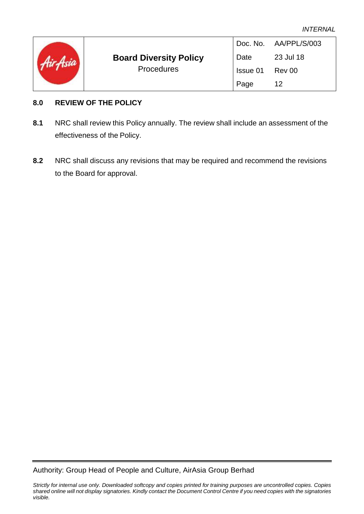|  |                                                    | Doc. No. AA/PPL/S/003 |           |
|--|----------------------------------------------------|-----------------------|-----------|
|  | <b>Board Diversity Policy</b><br><b>Procedures</b> | Date                  | 23 Jul 18 |
|  |                                                    | Issue 01              | Rev 00    |
|  |                                                    | Page                  | 12        |

#### <span id="page-16-0"></span>**8.0 REVIEW OF THE POLICY**

- **8.1** NRC shall review this Policy annually. The review shall include an assessment of the effectiveness of the Policy.
- **8.2** NRC shall discuss any revisions that may be required and recommend the revisions to the Board for approval.

# Authority: Group Head of People and Culture, AirAsia Group Berhad